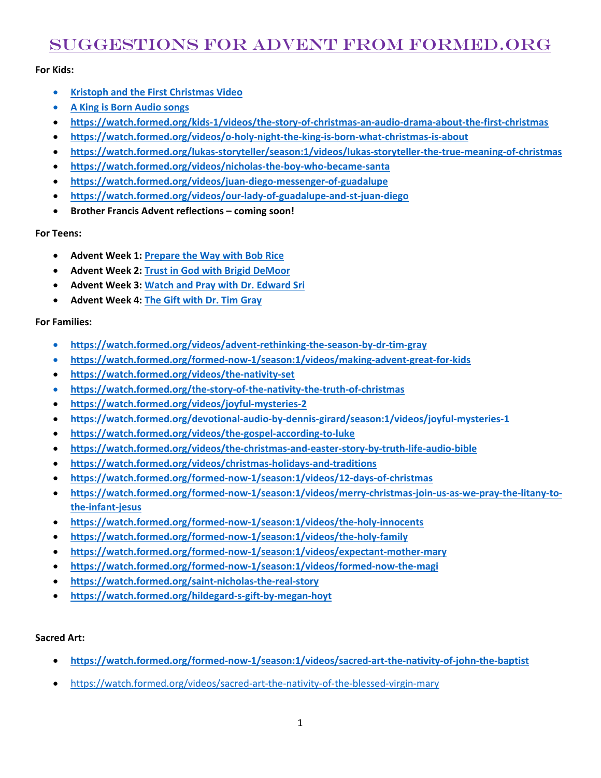# Suggestions for Advent from formed.org

## **For Kids:**

- **[Kristoph and the First Christmas Video](https://watch.formed.org/kristoph-the-first-christmas-tree-a-legend-of-st-boniface)**
- **[A King is Born Audio songs](https://watch.formed.org/kids-1/videos/the-king-is-born-a-collection-of-christmas-praises-in-song)**
- **<https://watch.formed.org/kids-1/videos/the-story-of-christmas-an-audio-drama-about-the-first-christmas>**
- **<https://watch.formed.org/videos/o-holy-night-the-king-is-born-what-christmas-is-about>**
- **<https://watch.formed.org/lukas-storyteller/season:1/videos/lukas-storyteller-the-true-meaning-of-christmas>**
- **<https://watch.formed.org/videos/nicholas-the-boy-who-became-santa>**
- **<https://watch.formed.org/videos/juan-diego-messenger-of-guadalupe>**
- **<https://watch.formed.org/videos/our-lady-of-guadalupe-and-st-juan-diego>**
- **Brother Francis Advent reflections – coming soon!**

### **For Teens:**

- **Advent Week 1: [Prepare the Way](https://watch.formed.org/ydisciple/season:18/videos/prepare-the-way-with-bob-rice) with Bob Rice**
- **Advent Week 2: [Trust in God with Brigid DeMoor](https://watch.formed.org/ydisciple/season:18/videos/trust-in-god-with-brigid-demoor)**
- **Advent Week 3: [Watch and Pray with Dr. Edward Sri](https://watch.formed.org/ydisciple/season:18/videos/watch-pray-with-dr-edward-sri)**
- **Advent Week 4: [The Gift with Dr. Tim Gray](https://watch.formed.org/ydisciple/season:18/videos/the-gift-with-dr-tim-gray)**

### **For Families:**

- **<https://watch.formed.org/videos/advent-rethinking-the-season-by-dr-tim-gray>**
- **<https://watch.formed.org/formed-now-1/season:1/videos/making-advent-great-for-kids>**
- **<https://watch.formed.org/videos/the-nativity-set>**
- **<https://watch.formed.org/the-story-of-the-nativity-the-truth-of-christmas>**
- **<https://watch.formed.org/videos/joyful-mysteries-2>**
- **<https://watch.formed.org/devotional-audio-by-dennis-girard/season:1/videos/joyful-mysteries-1>**
- **<https://watch.formed.org/videos/the-gospel-according-to-luke>**
- **<https://watch.formed.org/videos/the-christmas-and-easter-story-by-truth-life-audio-bible>**
- **<https://watch.formed.org/videos/christmas-holidays-and-traditions>**
- **<https://watch.formed.org/formed-now-1/season:1/videos/12-days-of-christmas>**
- **[https://watch.formed.org/formed-now-1/season:1/videos/merry-christmas-join-us-as-we-pray-the-litany-to](https://watch.formed.org/formed-now-1/season:1/videos/merry-christmas-join-us-as-we-pray-the-litany-to-the-infant-jesus)[the-infant-jesus](https://watch.formed.org/formed-now-1/season:1/videos/merry-christmas-join-us-as-we-pray-the-litany-to-the-infant-jesus)**
- **<https://watch.formed.org/formed-now-1/season:1/videos/the-holy-innocents>**
- **<https://watch.formed.org/formed-now-1/season:1/videos/the-holy-family>**
- **<https://watch.formed.org/formed-now-1/season:1/videos/expectant-mother-mary>**
- **<https://watch.formed.org/formed-now-1/season:1/videos/formed-now-the-magi>**
- **<https://watch.formed.org/saint-nicholas-the-real-story>**
- **<https://watch.formed.org/hildegard-s-gift-by-megan-hoyt>**

### **Sacred Art:**

- **<https://watch.formed.org/formed-now-1/season:1/videos/sacred-art-the-nativity-of-john-the-baptist>**
- <https://watch.formed.org/videos/sacred-art-the-nativity-of-the-blessed-virgin-mary>